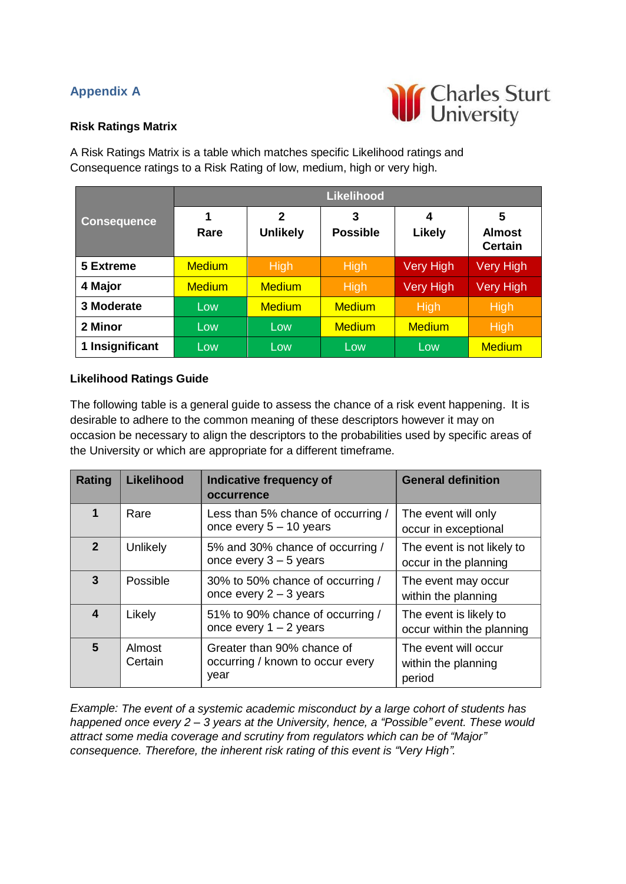## **Appendix A**



## **Risk Ratings Matrix**

A Risk Ratings Matrix is a table which matches specific Likelihood ratings and Consequence ratings to a Risk Rating of low, medium, high or very high.

|                    | <b>Likelihood</b> |                                |                      |             |                                      |
|--------------------|-------------------|--------------------------------|----------------------|-------------|--------------------------------------|
| <b>Consequence</b> | 1<br>Rare         | $\mathbf 2$<br><b>Unlikely</b> | 3<br><b>Possible</b> | 4<br>Likely | 5<br><b>Almost</b><br><b>Certain</b> |
| 5 Extreme          | <b>Medium</b>     | <b>High</b>                    | <b>High</b>          | Very High   | <b>Very High</b>                     |
| 4 Major            | <b>Medium</b>     | <b>Medium</b>                  | <b>High</b>          | Very High   | <b>Very High</b>                     |
| 3 Moderate         | Low               | <b>Medium</b>                  | <b>Medium</b>        | High        | <b>High</b>                          |
| 2 Minor            | Low               | Low                            | <b>Medium</b>        | Medium      | <b>High</b>                          |
| 1 Insignificant    | Low               | Low                            | Low                  | Low         | <b>Medium</b>                        |

## **Likelihood Ratings Guide**

The following table is a general guide to assess the chance of a risk event happening. It is desirable to adhere to the common meaning of these descriptors however it may on occasion be necessary to align the descriptors to the probabilities used by specific areas of the University or which are appropriate for a different timeframe.

| Rating         | <b>Likelihood</b> | <b>Indicative frequency of</b><br>occurrence                           | <b>General definition</b>                             |
|----------------|-------------------|------------------------------------------------------------------------|-------------------------------------------------------|
|                | Rare              | Less than 5% chance of occurring /<br>once every $5 - 10$ years        | The event will only<br>occur in exceptional           |
| $\overline{2}$ | Unlikely          | 5% and 30% chance of occurring /<br>once every $3 - 5$ years           | The event is not likely to<br>occur in the planning   |
| 3              | Possible          | 30% to 50% chance of occurring /<br>once every $2 - 3$ years           | The event may occur<br>within the planning            |
| 4              | Likely            | 51% to 90% chance of occurring /<br>once every $1 - 2$ years           | The event is likely to<br>occur within the planning   |
| 5              | Almost<br>Certain | Greater than 90% chance of<br>occurring / known to occur every<br>year | The event will occur<br>within the planning<br>period |

*Example: The event of a systemic academic misconduct by a large cohort of students has happened once every 2 – 3 years at the University, hence, a "Possible" event. These would attract some media coverage and scrutiny from regulators which can be of "Major" consequence. Therefore, the inherent risk rating of this event is "Very High".*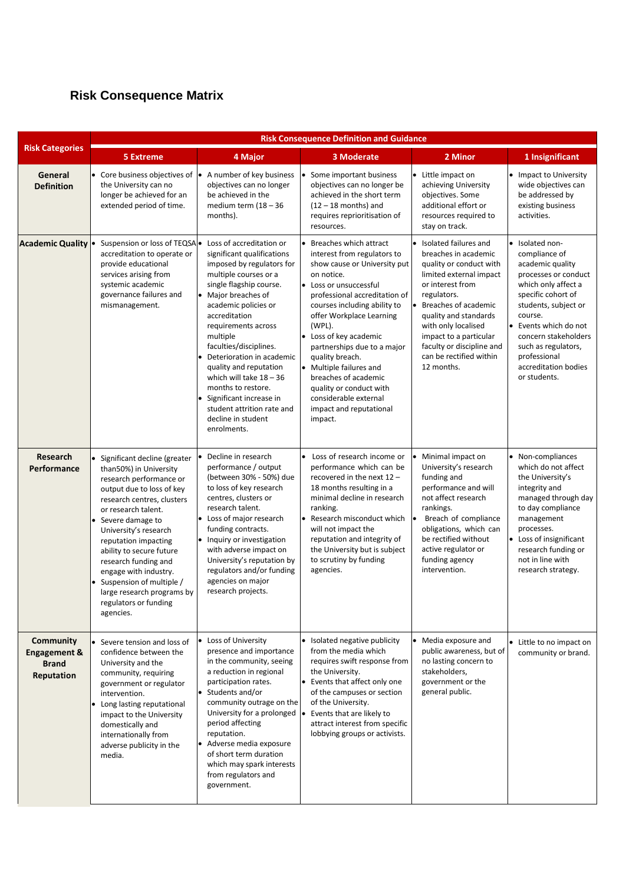## **Risk Consequence Matrix**

|                                                                           | <b>Risk Consequence Definition and Guidance</b>                                                                                                                                                                                                                                                                                                                                                                         |                                                                                                                                                                                                                                                                                                                                                                                                                                                                            |                                                                                                                                                                                                                                                                                                                                                                                                                                                               |                                                                                                                                                                                                                                                                                                                  |                                                                                                                                                                                                                                                                                            |  |
|---------------------------------------------------------------------------|-------------------------------------------------------------------------------------------------------------------------------------------------------------------------------------------------------------------------------------------------------------------------------------------------------------------------------------------------------------------------------------------------------------------------|----------------------------------------------------------------------------------------------------------------------------------------------------------------------------------------------------------------------------------------------------------------------------------------------------------------------------------------------------------------------------------------------------------------------------------------------------------------------------|---------------------------------------------------------------------------------------------------------------------------------------------------------------------------------------------------------------------------------------------------------------------------------------------------------------------------------------------------------------------------------------------------------------------------------------------------------------|------------------------------------------------------------------------------------------------------------------------------------------------------------------------------------------------------------------------------------------------------------------------------------------------------------------|--------------------------------------------------------------------------------------------------------------------------------------------------------------------------------------------------------------------------------------------------------------------------------------------|--|
| <b>Risk Categories</b>                                                    | <b>5 Extreme</b>                                                                                                                                                                                                                                                                                                                                                                                                        | 4 Major                                                                                                                                                                                                                                                                                                                                                                                                                                                                    | <b>3 Moderate</b>                                                                                                                                                                                                                                                                                                                                                                                                                                             | 2 Minor                                                                                                                                                                                                                                                                                                          | 1 Insignificant                                                                                                                                                                                                                                                                            |  |
| General<br><b>Definition</b>                                              | • Core business objectives of  •<br>the University can no<br>longer be achieved for an<br>extended period of time.                                                                                                                                                                                                                                                                                                      | A number of key business<br>objectives can no longer<br>be achieved in the<br>medium term $(18 - 36)$<br>months).                                                                                                                                                                                                                                                                                                                                                          | • Some important business<br>objectives can no longer be<br>achieved in the short term<br>$(12 - 18$ months) and<br>requires reprioritisation of<br>resources.                                                                                                                                                                                                                                                                                                | • Little impact on<br>achieving University<br>objectives. Some<br>additional effort or<br>resources required to<br>stay on track.                                                                                                                                                                                | • Impact to University<br>wide objectives can<br>be addressed by<br>existing business<br>activities.                                                                                                                                                                                       |  |
| <b>Academic Quality</b>                                                   | Suspension or loss of TEQSA .<br>accreditation to operate or<br>provide educational<br>services arising from<br>systemic academic<br>governance failures and<br>mismanagement.                                                                                                                                                                                                                                          | Loss of accreditation or<br>significant qualifications<br>imposed by regulators for<br>multiple courses or a<br>single flagship course.<br>Major breaches of<br>academic policies or<br>accreditation<br>requirements across<br>multiple<br>faculties/disciplines.<br>Deterioration in academic<br>quality and reputation<br>which will take $18 - 36$<br>months to restore.<br>Significant increase in<br>student attrition rate and<br>decline in student<br>enrolments. | Breaches which attract<br>interest from regulators to<br>show cause or University put<br>on notice.<br>• Loss or unsuccessful<br>professional accreditation of<br>courses including ability to<br>offer Workplace Learning<br>(WPL).<br>• Loss of key academic<br>partnerships due to a major<br>quality breach.<br>• Multiple failures and<br>breaches of academic<br>quality or conduct with<br>considerable external<br>impact and reputational<br>impact. | • Isolated failures and<br>breaches in academic<br>quality or conduct with<br>limited external impact<br>or interest from<br>regulators.<br>Breaches of academic<br>quality and standards<br>with only localised<br>impact to a particular<br>faculty or discipline and<br>can be rectified within<br>12 months. | • Isolated non-<br>compliance of<br>academic quality<br>processes or conduct<br>which only affect a<br>specific cohort of<br>students, subject or<br>course.<br>Events which do not<br>concern stakeholders<br>such as regulators,<br>professional<br>accreditation bodies<br>or students. |  |
| Research<br>Performance                                                   | • Significant decline (greater<br>than50%) in University<br>research performance or<br>output due to loss of key<br>research centres, clusters<br>or research talent.<br>Severe damage to<br>University's research<br>reputation impacting<br>ability to secure future<br>research funding and<br>engage with industry.<br>Suspension of multiple /<br>large research programs by<br>regulators or funding<br>agencies. | Decline in research<br>performance / output<br>(between 30% - 50%) due<br>to loss of key research<br>centres, clusters or<br>research talent.<br>• Loss of major research<br>funding contracts.<br>• Inquiry or investigation<br>with adverse impact on<br>University's reputation by<br>regulators and/or funding<br>agencies on major<br>research projects.                                                                                                              | • Loss of research income or<br>performance which can be<br>recovered in the next 12 -<br>18 months resulting in a<br>minimal decline in research<br>ranking.<br>Research misconduct which<br>will not impact the<br>reputation and integrity of<br>the University but is subject<br>to scrutiny by funding<br>agencies.                                                                                                                                      | Minimal impact on<br>University's research<br>funding and<br>performance and will<br>not affect research<br>rankings.<br>Breach of compliance<br>obligations, which can<br>be rectified without<br>active regulator or<br>funding agency<br>intervention.                                                        | • Non-compliances<br>which do not affect<br>the University's<br>integrity and<br>managed through day<br>to day compliance<br>management<br>processes.<br>• Loss of insignificant<br>research funding or<br>not in line with<br>research strategy.                                          |  |
| <b>Community</b><br><b>Engagement &amp;</b><br><b>Brand</b><br>Reputation | • Severe tension and loss of<br>confidence between the<br>University and the<br>community, requiring<br>government or regulator<br>intervention.<br>• Long lasting reputational<br>impact to the University<br>domestically and<br>internationally from<br>adverse publicity in the<br>media.                                                                                                                           | • Loss of University<br>presence and importance<br>in the community, seeing<br>a reduction in regional<br>participation rates.<br>• Students and/or<br>community outrage on the<br>University for a prolonged<br>period affecting<br>reputation.<br>Adverse media exposure<br>of short term duration<br>which may spark interests<br>from regulators and<br>government.                                                                                                    | • Isolated negative publicity<br>from the media which<br>requires swift response from<br>the University.<br>• Events that affect only one<br>of the campuses or section<br>of the University.<br>Events that are likely to<br>attract interest from specific<br>lobbying groups or activists.                                                                                                                                                                 | • Media exposure and<br>public awareness, but of<br>no lasting concern to<br>stakeholders,<br>government or the<br>general public.                                                                                                                                                                               | • Little to no impact on<br>community or brand.                                                                                                                                                                                                                                            |  |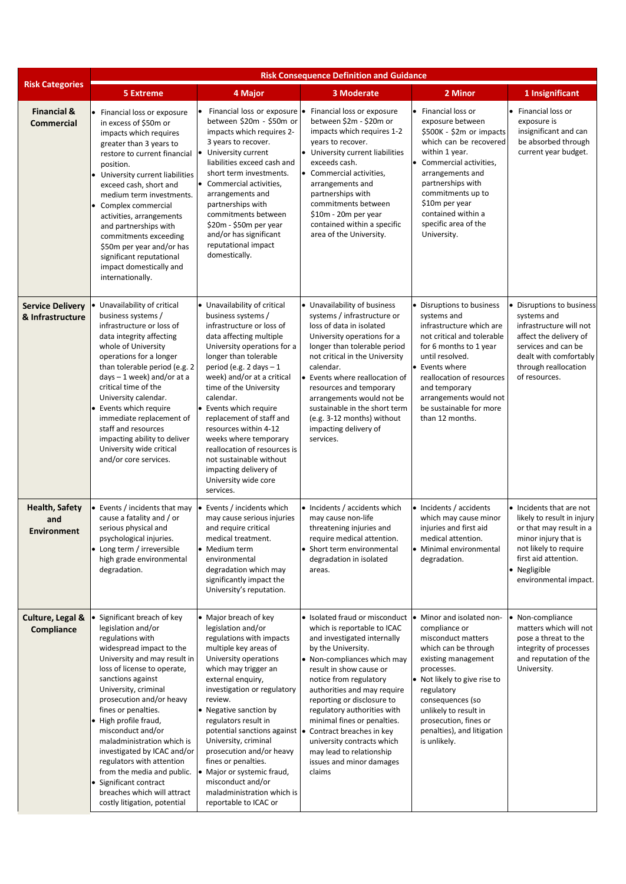|                                             | <b>Risk Consequence Definition and Guidance</b>                                                                                                                                                                                                                                                                                                                                                                                                                                                                           |                                                                                                                                                                                                                                                                                                                                                                                                                                                                                                        |                                                                                                                                                                                                                                                                                                                                                                                                                                                               |                                                                                                                                                                                                                                                                                                 |                                                                                                                                                                                                     |  |
|---------------------------------------------|---------------------------------------------------------------------------------------------------------------------------------------------------------------------------------------------------------------------------------------------------------------------------------------------------------------------------------------------------------------------------------------------------------------------------------------------------------------------------------------------------------------------------|--------------------------------------------------------------------------------------------------------------------------------------------------------------------------------------------------------------------------------------------------------------------------------------------------------------------------------------------------------------------------------------------------------------------------------------------------------------------------------------------------------|---------------------------------------------------------------------------------------------------------------------------------------------------------------------------------------------------------------------------------------------------------------------------------------------------------------------------------------------------------------------------------------------------------------------------------------------------------------|-------------------------------------------------------------------------------------------------------------------------------------------------------------------------------------------------------------------------------------------------------------------------------------------------|-----------------------------------------------------------------------------------------------------------------------------------------------------------------------------------------------------|--|
| <b>Risk Categories</b>                      | <b>5 Extreme</b>                                                                                                                                                                                                                                                                                                                                                                                                                                                                                                          | 4 Major                                                                                                                                                                                                                                                                                                                                                                                                                                                                                                | 3 Moderate                                                                                                                                                                                                                                                                                                                                                                                                                                                    | 2 Minor                                                                                                                                                                                                                                                                                         | 1 Insignificant                                                                                                                                                                                     |  |
| <b>Financial &amp;</b><br><b>Commercial</b> | Financial loss or exposure<br>in excess of \$50m or<br>impacts which requires<br>greater than 3 years to<br>restore to current financial<br>position.<br>University current liabilities<br>exceed cash, short and<br>medium term investments.<br>Complex commercial<br>activities, arrangements<br>and partnerships with<br>commitments exceeding<br>\$50m per year and/or has<br>significant reputational<br>impact domestically and<br>internationally.                                                                 | Financial loss or exposure •<br>between \$20m - \$50m or<br>impacts which requires 2-<br>3 years to recover.<br>University current<br>liabilities exceed cash and<br>short term investments.<br>Commercial activities,<br>$\bullet$<br>arrangements and<br>partnerships with<br>commitments between<br>\$20m - \$50m per year<br>and/or has significant<br>reputational impact<br>domestically.                                                                                                        | Financial loss or exposure<br>between \$2m - \$20m or<br>impacts which requires 1-2<br>years to recover.<br>• University current liabilities<br>exceeds cash.<br>• Commercial activities,<br>arrangements and<br>partnerships with<br>commitments between<br>\$10m - 20m per year<br>contained within a specific<br>area of the University.                                                                                                                   | • Financial loss or<br>exposure between<br>\$500K - \$2m or impacts<br>which can be recovered<br>within 1 year.<br>• Commercial activities,<br>arrangements and<br>partnerships with<br>commitments up to<br>\$10m per year<br>contained within a<br>specific area of the<br>University.        | Financial loss or<br>exposure is<br>insignificant and can<br>be absorbed through<br>current year budget.                                                                                            |  |
| <b>Service Delivery</b><br>& Infrastructure | Unavailability of critical<br>business systems /<br>infrastructure or loss of<br>data integrity affecting<br>whole of University<br>operations for a longer<br>than tolerable period (e.g. 2<br>$days - 1$ week) and/or at a<br>critical time of the<br>University calendar.<br>Events which require<br>immediate replacement of<br>staff and resources<br>impacting ability to deliver<br>University wide critical<br>and/or core services.                                                                              | • Unavailability of critical<br>business systems /<br>infrastructure or loss of<br>data affecting multiple<br>University operations for a<br>longer than tolerable<br>period (e.g. $2$ days $-1$<br>week) and/or at a critical<br>time of the University<br>calendar.<br>• Events which require<br>replacement of staff and<br>resources within 4-12<br>weeks where temporary<br>reallocation of resources is<br>not sustainable without<br>impacting delivery of<br>University wide core<br>services. | • Unavailability of business<br>systems / infrastructure or<br>loss of data in isolated<br>University operations for a<br>longer than tolerable period<br>not critical in the University<br>calendar.<br>• Events where reallocation of<br>resources and temporary<br>arrangements would not be<br>sustainable in the short term<br>(e.g. 3-12 months) without<br>impacting delivery of<br>services.                                                          | • Disruptions to business<br>systems and<br>infrastructure which are<br>not critical and tolerable<br>for 6 months to 1 year<br>until resolved.<br>• Events where<br>reallocation of resources<br>and temporary<br>arrangements would not<br>be sustainable for more<br>than 12 months.         | • Disruptions to business<br>systems and<br>infrastructure will not<br>affect the delivery of<br>services and can be<br>dealt with comfortably<br>through reallocation<br>of resources.             |  |
| <b>Health, Safety</b><br>and<br>Environment | Events / incidents that may<br>cause a fatality and / or<br>serious physical and<br>psychological injuries.<br>• Long term / irreversible<br>high grade environmental<br>degradation.                                                                                                                                                                                                                                                                                                                                     | Events / incidents which<br>$\bullet$<br>may cause serious injuries<br>and require critical<br>medical treatment.<br>• Medium term<br>environmental<br>degradation which may<br>significantly impact the<br>University's reputation.                                                                                                                                                                                                                                                                   | • Incidents / accidents which<br>may cause non-life<br>threatening injuries and<br>require medical attention.<br>• Short term environmental<br>degradation in isolated<br>areas.                                                                                                                                                                                                                                                                              | • Incidents / accidents<br>which may cause minor<br>injuries and first aid<br>medical attention.<br>• Minimal environmental<br>degradation.                                                                                                                                                     | • Incidents that are not<br>likely to result in injury<br>or that may result in a<br>minor injury that is<br>not likely to require<br>first aid attention.<br>• Negligible<br>environmental impact. |  |
| Culture, Legal &<br><b>Compliance</b>       | Significant breach of key<br>legislation and/or<br>regulations with<br>widespread impact to the<br>University and may result in<br>loss of license to operate,<br>sanctions against<br>University, criminal<br>prosecution and/or heavy<br>fines or penalties.<br>High profile fraud,<br>misconduct and/or<br>maladministration which is<br>investigated by ICAC and/or<br>regulators with attention<br>from the media and public.<br>Significant contract<br>breaches which will attract<br>costly litigation, potential | • Major breach of key<br>legislation and/or<br>regulations with impacts<br>multiple key areas of<br>University operations<br>which may trigger an<br>external enquiry,<br>investigation or regulatory<br>review.<br>• Negative sanction by<br>regulators result in<br>potential sanctions against •<br>University, criminal<br>prosecution and/or heavy<br>fines or penalties.<br>• Major or systemic fraud,<br>misconduct and/or<br>maladministration which is<br>reportable to ICAC or               | • Isolated fraud or misconduct<br>which is reportable to ICAC<br>and investigated internally<br>by the University.<br>• Non-compliances which may<br>result in show cause or<br>notice from regulatory<br>authorities and may require<br>reporting or disclosure to<br>regulatory authorities with<br>minimal fines or penalties.<br>Contract breaches in key<br>university contracts which<br>may lead to relationship<br>issues and minor damages<br>claims | • Minor and isolated non-<br>compliance or<br>misconduct matters<br>which can be through<br>existing management<br>processes.<br>• Not likely to give rise to<br>regulatory<br>consequences (so<br>unlikely to result in<br>prosecution, fines or<br>penalties), and litigation<br>is unlikely. | • Non-compliance<br>matters which will not<br>pose a threat to the<br>integrity of processes<br>and reputation of the<br>University.                                                                |  |